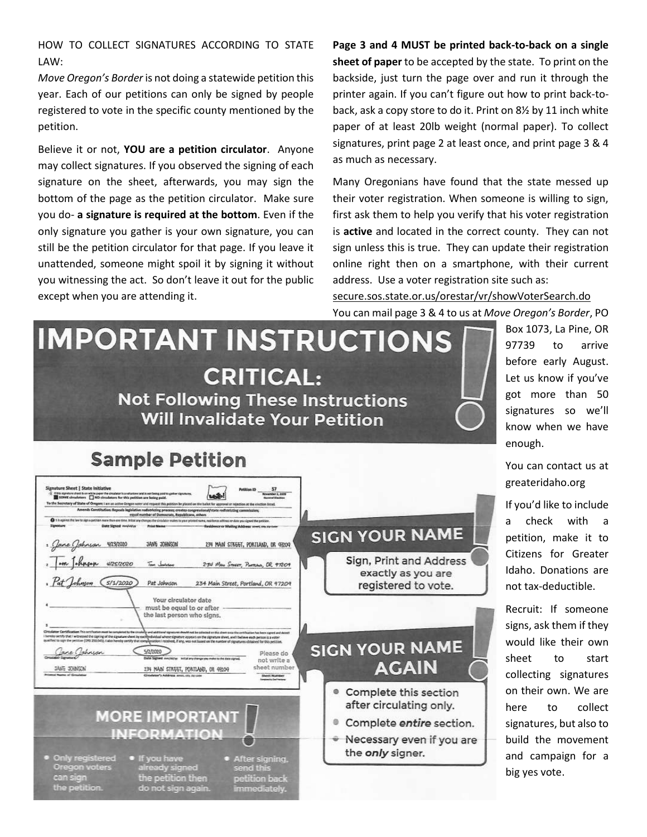HOW TO COLLECT SIGNATURES ACCORDING TO STATE LAW:

*Move Oregon's Border* is not doing a statewide petition this year. Each of our petitions can only be signed by people registered to vote in the specific county mentioned by the petition.

Believe it or not, **YOU are a petition circulator**. Anyone may collect signatures. If you observed the signing of each signature on the sheet, afterwards, you may sign the bottom of the page as the petition circulator. Make sure you do- **a signature is required at the bottom**. Even if the only signature you gather is your own signature, you can still be the petition circulator for that page. If you leave it unattended, someone might spoil it by signing it without you witnessing the act. So don't leave it out for the public except when you are attending it.

**Page 3 and 4 MUST be printed back-to-back on a single sheet of paper** to be accepted by the state. To print on the backside, just turn the page over and run it through the printer again. If you can't figure out how to print back-toback, ask a copy store to do it. Print on 8½ by 11 inch white paper of at least 20lb weight (normal paper). To collect signatures, print page 2 at least once, and print page 3 & 4 as much as necessary.

Many Oregonians have found that the state messed up their voter registration. When someone is willing to sign, first ask them to help you verify that his voter registration is **active** and located in the correct county. They can not sign unless this is true. They can update their registration online right then on a smartphone, with their current address. Use a voter registration site such as:

[secure.sos.state.or.us/orestar/vr/showVoterSearch.do](https://secure.sos.state.or.us/orestar/vr/showVoterSearch.do) You can mail page 3 & 4 to us at *Move Oregon's Border*, PO

# **IMPORTANT INSTRUCTIONS CRITICAL: Not Following These Instructions Will Invalidate Your Petition**

# **Sample Petition**

| Signature Sheet   State Initiative<br>(1) If this signature shoot is on white paper the creategar is a voluntaer and is not being paid to gather digratures.<br>SCARE circulators   NO circulators for this petition are being suid.<br>To the Socretary of State of Oregon: I am an active Gregon voter and request this position be placed on the ballot for approval or rejection at the election limit.<br>Amends Constitution: Repeals legislative redistricting process; creatrs congressional/state redistricting commission;<br>equal number of Domocrats, Resublicans, others                                                                            | Potition (I)<br><b>New York 3 State</b>                                                                                                                                                           |                                                                      |
|-------------------------------------------------------------------------------------------------------------------------------------------------------------------------------------------------------------------------------------------------------------------------------------------------------------------------------------------------------------------------------------------------------------------------------------------------------------------------------------------------------------------------------------------------------------------------------------------------------------------------------------------------------------------|---------------------------------------------------------------------------------------------------------------------------------------------------------------------------------------------------|----------------------------------------------------------------------|
| @ It is approximate the the sign a periode more than one time. Initial any changes the circulator makes to your printed name, residence address or date you signed the perision.<br>Signature<br>Date Signed www.lity<br><b>Print Name</b><br>Jane (Johnson 4/23/2020<br>JANG JOHNSON                                                                                                                                                                                                                                                                                                                                                                             | firsidence or Mailing Address sover, on, su now<br>234 MAIN STREET, PORTLAND, DR 97209                                                                                                            | <b>SIGN YOUR NAME</b>                                                |
| Tom Joshnon<br>Pat Johnson                                                                                                                                                                                                                                                                                                                                                                                                                                                                                                                                                                                                                                        | 234 May STEET, POSTANO, OR 97209<br>234 Main Street, Portland, OR 97209                                                                                                                           | Sign, Print and Address<br>exactly as you are<br>registered to vote. |
|                                                                                                                                                                                                                                                                                                                                                                                                                                                                                                                                                                                                                                                                   | must be equal to or after<br>the last person who signs.                                                                                                                                           |                                                                      |
| Circulator Certification This contrasto must be completed by the circulate and additional signatures should not be collected on this sheet once the certification has been agreed and dated?<br>I hereby cartify that I witnessed the signing of the signature short by each published whose signature appears on the signature sheet, and I believe each person is a voter<br>qualified to say the perisive (DfS 250.043). I also havebe cartify that complession I received, if any, was not based on the number of signatures obtained for this petition.<br>are Johnson<br>5/1/2020<br>SAVE STANDS<br>and of them has<br>Circulator's Address avec one ne can | Please do<br>Date Signed awa/Malyy antisting change you make to the date signed.<br>not write a<br>sheet number<br>134 MAIN STREET, PORTLAND, OR 93209<br><b>Steel Number</b><br>state Court from | <b>SIGN YOUR NAME</b><br><b>AGAIN</b>                                |

Box 1073, La Pine, OR 97739 to arrive before early August. Let us know if you've got more than 50 signatures so we'll know when we have enough.

You can contact us at greateridaho.org

If you'd like to include a check with a petition, make it to Citizens for Greater Idaho. Donations are not tax-deductible.

Recruit: If someone signs, ask them if they would like their own sheet to start collecting signatures on their own. We are here to collect signatures, but also to build the movement and campaign for a big yes vote.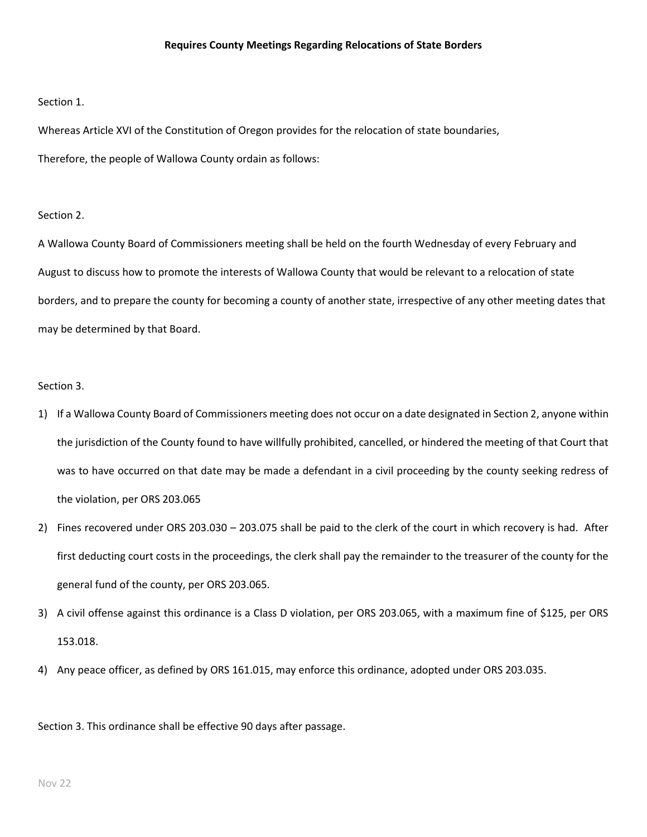#### Section 1.

Whereas Article XVI of the Constitution of Oregon provides for the relocation of state boundaries, Therefore, the people of Wallowa County ordain as follows:

### Section 2.

A Wallowa County Board of Commissioners meeting shall be held on the fourth Wednesday of every February and August to discuss how to promote the interests of Wallowa County that would be relevant to a relocation of state borders, and to prepare the county for becoming a county of another state, irrespective of any other meeting dates that may be determined by that Board.

## Section 3.

- 1) If a Wallowa County Board of Commissioners meeting does not occur on a date designated in Section 2, anyone within the jurisdiction of the County found to have willfully prohibited, cancelled, or hindered the meeting of that Court that was to have occurred on that date may be made a defendant in a civil proceeding by the county seeking redress of the violation, per ORS 203.065
- 2) Fines recovered under ORS 203.030 203.075 shall be paid to the clerk of the court in which recovery is had. After first deducting court costs in the proceedings, the clerk shall pay the remainder to the treasurer of the county for the general fund of the county, per ORS 203.065.
- 3) A civil offense against this ordinance is a Class D violation, per ORS 203.065, with a maximum fine of \$125, per ORS 153.018.
- 4) Any peace officer, as defined by ORS 161.015, may enforce this ordinance, adopted under ORS 203.035.

Section 3. This ordinance shall be effective 90 days after passage.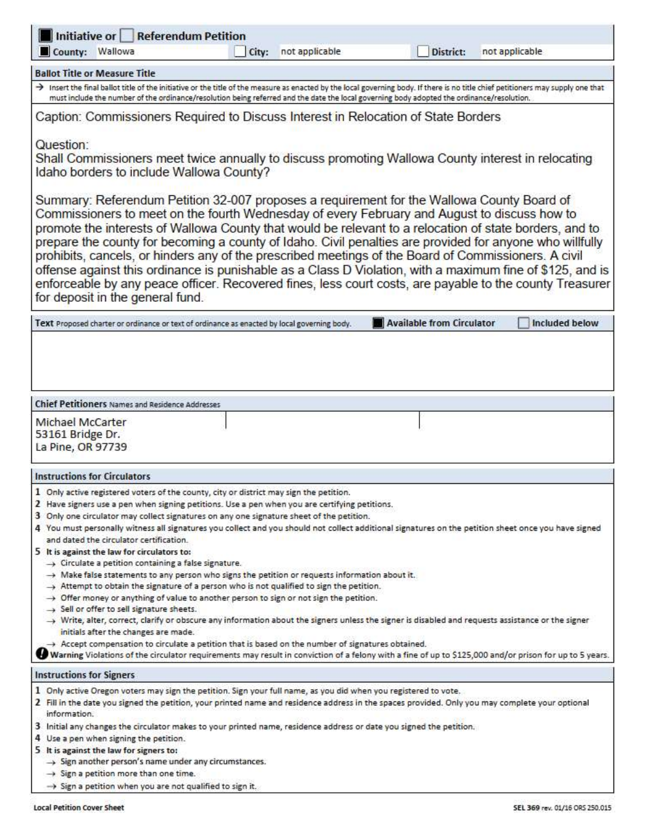| Initiative or<br><b>Referendum Petition</b><br>County: Wallowa<br>City:<br>not applicable<br>District:<br>not applicable                                                                                                                                                                                                                                                                                                                                                                                                                                                                                                                                                                                                                                                                                                                                                                                                                                                                                                                                                                                                                                                                                                                                                                                                                                                                                                                     |
|----------------------------------------------------------------------------------------------------------------------------------------------------------------------------------------------------------------------------------------------------------------------------------------------------------------------------------------------------------------------------------------------------------------------------------------------------------------------------------------------------------------------------------------------------------------------------------------------------------------------------------------------------------------------------------------------------------------------------------------------------------------------------------------------------------------------------------------------------------------------------------------------------------------------------------------------------------------------------------------------------------------------------------------------------------------------------------------------------------------------------------------------------------------------------------------------------------------------------------------------------------------------------------------------------------------------------------------------------------------------------------------------------------------------------------------------|
| <b>Ballot Title or Measure Title</b>                                                                                                                                                                                                                                                                                                                                                                                                                                                                                                                                                                                                                                                                                                                                                                                                                                                                                                                                                                                                                                                                                                                                                                                                                                                                                                                                                                                                         |
| > Insert the final ballot title of the initiative or the title of the measure as enacted by the local governing body. If there is no title chief petitioners may supply one that<br>must include the number of the ordinance/resolution being referred and the date the local governing body adopted the ordinance/resolution.                                                                                                                                                                                                                                                                                                                                                                                                                                                                                                                                                                                                                                                                                                                                                                                                                                                                                                                                                                                                                                                                                                               |
| Caption: Commissioners Required to Discuss Interest in Relocation of State Borders                                                                                                                                                                                                                                                                                                                                                                                                                                                                                                                                                                                                                                                                                                                                                                                                                                                                                                                                                                                                                                                                                                                                                                                                                                                                                                                                                           |
| Question:<br>Shall Commissioners meet twice annually to discuss promoting Wallowa County interest in relocating<br>Idaho borders to include Wallowa County?                                                                                                                                                                                                                                                                                                                                                                                                                                                                                                                                                                                                                                                                                                                                                                                                                                                                                                                                                                                                                                                                                                                                                                                                                                                                                  |
| Summary: Referendum Petition 32-007 proposes a requirement for the Wallowa County Board of<br>Commissioners to meet on the fourth Wednesday of every February and August to discuss how to<br>promote the interests of Wallowa County that would be relevant to a relocation of state borders, and to<br>prepare the county for becoming a county of Idaho. Civil penalties are provided for anyone who willfully<br>prohibits, cancels, or hinders any of the prescribed meetings of the Board of Commissioners. A civil<br>offense against this ordinance is punishable as a Class D Violation, with a maximum fine of \$125, and is<br>enforceable by any peace officer. Recovered fines, less court costs, are payable to the county Treasurer<br>for deposit in the general fund.                                                                                                                                                                                                                                                                                                                                                                                                                                                                                                                                                                                                                                                       |
| Available from Circulator<br>Included below<br>Text Proposed charter or ordinance or text of ordinance as enacted by local governing body.                                                                                                                                                                                                                                                                                                                                                                                                                                                                                                                                                                                                                                                                                                                                                                                                                                                                                                                                                                                                                                                                                                                                                                                                                                                                                                   |
|                                                                                                                                                                                                                                                                                                                                                                                                                                                                                                                                                                                                                                                                                                                                                                                                                                                                                                                                                                                                                                                                                                                                                                                                                                                                                                                                                                                                                                              |
| <b>Chief Petitioners Names and Residence Addresses</b>                                                                                                                                                                                                                                                                                                                                                                                                                                                                                                                                                                                                                                                                                                                                                                                                                                                                                                                                                                                                                                                                                                                                                                                                                                                                                                                                                                                       |
| Michael McCarter<br>53161 Bridge Dr.<br>La Pine, OR 97739                                                                                                                                                                                                                                                                                                                                                                                                                                                                                                                                                                                                                                                                                                                                                                                                                                                                                                                                                                                                                                                                                                                                                                                                                                                                                                                                                                                    |
| <b>Instructions for Circulators</b>                                                                                                                                                                                                                                                                                                                                                                                                                                                                                                                                                                                                                                                                                                                                                                                                                                                                                                                                                                                                                                                                                                                                                                                                                                                                                                                                                                                                          |
| 1 Only active registered voters of the county, city or district may sign the petition.<br>2 Have signers use a pen when signing petitions. Use a pen when you are certifying petitions.<br>3 Only one circulator may collect signatures on any one signature sheet of the petition.<br>4 You must personally witness all signatures you collect and you should not collect additional signatures on the petition sheet once you have signed<br>and dated the circulator certification.<br>5 It is against the law for circulators to:<br>$\rightarrow$ Circulate a petition containing a false signature.<br>A Make false statements to any person who signs the petition or requests information about it.<br>Attempt to obtain the signature of a person who is not qualified to sign the petition.<br>$\rightarrow$ Offer money or anything of value to another person to sign or not sign the petition.<br>$\rightarrow$ Sell or offer to sell signature sheets.<br>→ Write, alter, correct, clarify or obscure any information about the signers unless the signer is disabled and requests assistance or the signer<br>initials after the changes are made.<br>$\rightarrow$ Accept compensation to circulate a petition that is based on the number of signatures obtained.<br>Warning Violations of the circulator requirements may result in conviction of a felony with a fine of up to \$125,000 and/or prison for up to 5 years. |
| <b>Instructions for Signers</b>                                                                                                                                                                                                                                                                                                                                                                                                                                                                                                                                                                                                                                                                                                                                                                                                                                                                                                                                                                                                                                                                                                                                                                                                                                                                                                                                                                                                              |
| 1 Only active Oregon voters may sign the petition. Sign your full name, as you did when you registered to vote.<br>2 Fill in the date you signed the petition, your printed name and residence address in the spaces provided. Only you may complete your optional<br>information.                                                                                                                                                                                                                                                                                                                                                                                                                                                                                                                                                                                                                                                                                                                                                                                                                                                                                                                                                                                                                                                                                                                                                           |
| 3 Initial any changes the circulator makes to your printed name, residence address or date you signed the petition.<br>4 Use a pen when signing the petition.<br>5 It is against the law for signers to:<br>$\rightarrow$ Sign another person's name under any circumstances.<br>$\rightarrow$ Sign a petition more than one time.                                                                                                                                                                                                                                                                                                                                                                                                                                                                                                                                                                                                                                                                                                                                                                                                                                                                                                                                                                                                                                                                                                           |
| $\rightarrow$ Sign a petition when you are not qualified to sign it.                                                                                                                                                                                                                                                                                                                                                                                                                                                                                                                                                                                                                                                                                                                                                                                                                                                                                                                                                                                                                                                                                                                                                                                                                                                                                                                                                                         |